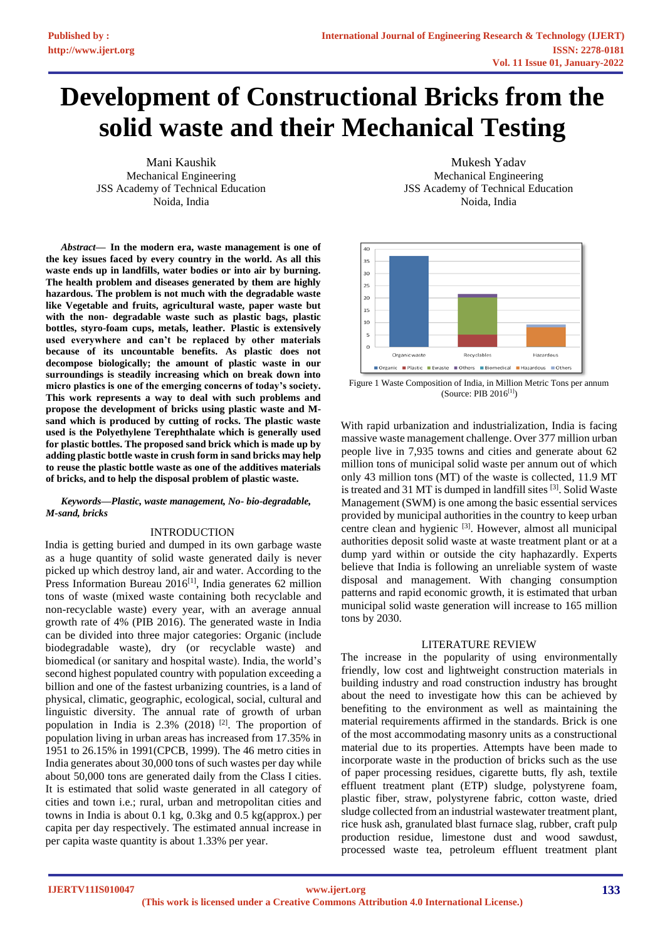# **Development of Constructional Bricks from the solid waste and their Mechanical Testing**

Mani Kaushik Mechanical Engineering JSS Academy of Technical Education Noida, India

*Abstract***— In the modern era, waste management is one of the key issues faced by every country in the world. As all this waste ends up in landfills, water bodies or into air by burning. The health problem and diseases generated by them are highly hazardous. The problem is not much with the degradable waste like Vegetable and fruits, agricultural waste, paper waste but with the non- degradable waste such as plastic bags, plastic bottles, styro-foam cups, metals, leather. Plastic is extensively used everywhere and can't be replaced by other materials because of its uncountable benefits. As plastic does not decompose biologically; the amount of plastic waste in our surroundings is steadily increasing which on break down into micro plastics is one of the emerging concerns of today's society. This work represents a way to deal with such problems and propose the development of bricks using plastic waste and Msand which is produced by cutting of rocks. The plastic waste used is the Polyethylene Terephthalate which is generally used for plastic bottles. The proposed sand brick which is made up by adding plastic bottle waste in crush form in sand bricks may help to reuse the plastic bottle waste as one of the additives materials of bricks, and to help the disposal problem of plastic waste.**

#### *Keywords—Plastic, waste management, No- bio-degradable, M-sand, bricks*

# INTRODUCTION

India is getting buried and dumped in its own garbage waste as a huge quantity of solid waste generated daily is never picked up which destroy land, air and water. According to the Press Information Bureau  $2016$ <sup>[1]</sup>, India generates 62 million tons of waste (mixed waste containing both recyclable and non-recyclable waste) every year, with an average annual growth rate of 4% (PIB 2016). The generated waste in India can be divided into three major categories: Organic (include biodegradable waste), dry (or recyclable waste) and biomedical (or sanitary and hospital waste). India, the world's second highest populated country with population exceeding a billion and one of the fastest urbanizing countries, is a land of physical, climatic, geographic, ecological, social, cultural and linguistic diversity. The annual rate of growth of urban population in India is 2.3% (2018) [2]. The proportion of population living in urban areas has increased from 17.35% in 1951 to 26.15% in 1991(CPCB, 1999). The 46 metro cities in India generates about 30,000 tons of such wastes per day while about 50,000 tons are generated daily from the Class I cities. It is estimated that solid waste generated in all category of cities and town i.e.; rural, urban and metropolitan cities and towns in India is about 0.1 kg, 0.3kg and 0.5 kg(approx.) per capita per day respectively. The estimated annual increase in per capita waste quantity is about 1.33% per year.

Mukesh Yadav Mechanical Engineering JSS Academy of Technical Education Noida, India



Figure 1 Waste Composition of India, in Million Metric Tons per annum (Source: PIB 2016[1])

With rapid urbanization and industrialization, India is facing massive waste management challenge. Over 377 million urban people live in 7,935 towns and cities and generate about 62 million tons of municipal solid waste per annum out of which only 43 million tons (MT) of the waste is collected, 11.9 MT is treated and 31 MT is dumped in landfill sites [3]. Solid Waste Management (SWM) is one among the basic essential services provided by municipal authorities in the country to keep urban centre clean and hygienic [3]. However, almost all municipal authorities deposit solid waste at waste treatment plant or at a dump yard within or outside the city haphazardly. Experts believe that India is following an unreliable system of waste disposal and management. With changing consumption patterns and rapid economic growth, it is estimated that urban municipal solid waste generation will increase to 165 million tons by 2030.

## LITERATURE REVIEW

The increase in the popularity of using environmentally friendly, low cost and lightweight construction materials in building industry and road construction industry has brought about the need to investigate how this can be achieved by benefiting to the environment as well as maintaining the material requirements affirmed in the standards. Brick is one of the most accommodating masonry units as a constructional material due to its properties. Attempts have been made to incorporate waste in the production of bricks such as the use of paper processing residues, cigarette butts, fly ash, textile effluent treatment plant (ETP) sludge, polystyrene foam, plastic fiber, straw, polystyrene fabric, cotton waste, dried sludge collected from an industrial wastewater treatment plant, rice husk ash, granulated blast furnace slag, rubber, craft pulp production residue, limestone dust and wood sawdust, processed waste tea, petroleum effluent treatment plant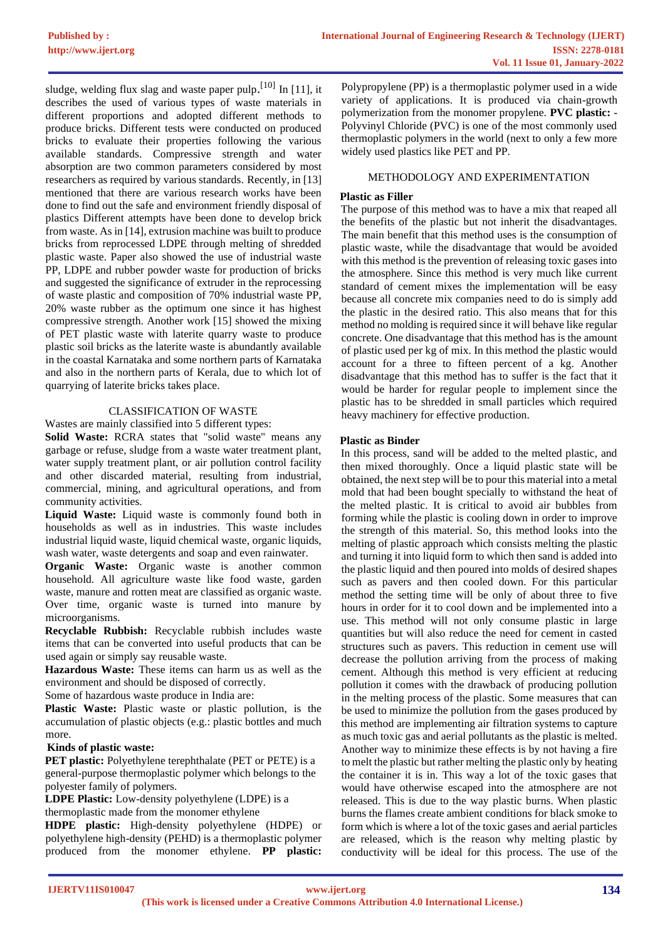sludge, welding flux slag and waste paper pulp.<sup>[10]</sup> In [11], it describes the used of various types of waste materials in different proportions and adopted different methods to produce bricks. Different tests were conducted on produced bricks to evaluate their properties following the various available standards. Compressive strength and water absorption are two common parameters considered by most researchers as required by various standards. Recently, in [13] mentioned that there are various research works have been done to find out the safe and environment friendly disposal of plastics Different attempts have been done to develop brick from waste. As in [14], extrusion machine was built to produce bricks from reprocessed LDPE through melting of shredded plastic waste. Paper also showed the use of industrial waste PP, LDPE and rubber powder waste for production of bricks and suggested the significance of extruder in the reprocessing of waste plastic and composition of 70% industrial waste PP, 20% waste rubber as the optimum one since it has highest compressive strength. Another work [15] showed the mixing of PET plastic waste with laterite quarry waste to produce plastic soil bricks as the laterite waste is abundantly available in the coastal Karnataka and some northern parts of Karnataka and also in the northern parts of Kerala, due to which lot of quarrying of laterite bricks takes place.

# CLASSIFICATION OF WASTE

Wastes are mainly classified into 5 different types:

**Solid Waste:** RCRA states that "solid waste" means any garbage or refuse, sludge from a waste water treatment plant, water supply treatment plant, or air pollution control facility and other discarded material, resulting from industrial, commercial, mining, and agricultural operations, and from community activities.

**Liquid Waste:** Liquid waste is commonly found both in households as well as in industries. This waste includes industrial liquid waste, liquid chemical waste, organic liquids, wash water, waste detergents and soap and even rainwater.

**Organic Waste:** Organic waste is another common household. All agriculture waste like food waste, garden waste, manure and rotten meat are classified as organic waste. Over time, organic waste is turned into manure by microorganisms.

**Recyclable Rubbish:** Recyclable rubbish includes waste items that can be converted into useful products that can be used again or simply say reusable waste.

**Hazardous Waste:** These items can harm us as well as the environment and should be disposed of correctly.

Some of hazardous waste produce in India are:

**Plastic Waste:** Plastic waste or plastic pollution, is the accumulation of plastic objects (e.g.: plastic bottles and much more.

## **Kinds of plastic waste:**

**PET plastic:** Polyethylene terephthalate (PET or PETE) is a general-purpose thermoplastic polymer which belongs to the polyester family of polymers.

**LDPE Plastic:** Low-density polyethylene (LDPE) is a

thermoplastic made from the monomer ethylene

**HDPE plastic:** High-density polyethylene (HDPE) or polyethylene high-density (PEHD) is a thermoplastic polymer produced from the monomer ethylene. **PP plastic:** Polypropylene (PP) is a thermoplastic polymer used in a wide variety of applications. It is produced via chain-growth polymerization from the monomer propylene. **PVC plastic:** - Polyvinyl Chloride (PVC) is one of the most commonly used thermoplastic polymers in the world (next to only a few more widely used plastics like PET and PP.

# METHODOLOGY AND EXPERIMENTATION

# **Plastic as Filler**

The purpose of this method was to have a mix that reaped all the benefits of the plastic but not inherit the disadvantages. The main benefit that this method uses is the consumption of plastic waste, while the disadvantage that would be avoided with this method is the prevention of releasing toxic gases into the atmosphere. Since this method is very much like current standard of cement mixes the implementation will be easy because all concrete mix companies need to do is simply add the plastic in the desired ratio. This also means that for this method no molding is required since it will behave like regular concrete. One disadvantage that this method has is the amount of plastic used per kg of mix. In this method the plastic would account for a three to fifteen percent of a kg. Another disadvantage that this method has to suffer is the fact that it would be harder for regular people to implement since the plastic has to be shredded in small particles which required heavy machinery for effective production.

# **Plastic as Binder**

In this process, sand will be added to the melted plastic, and then mixed thoroughly. Once a liquid plastic state will be obtained, the next step will be to pour this material into a metal mold that had been bought specially to withstand the heat of the melted plastic. It is critical to avoid air bubbles from forming while the plastic is cooling down in order to improve the strength of this material. So, this method looks into the melting of plastic approach which consists melting the plastic and turning it into liquid form to which then sand is added into the plastic liquid and then poured into molds of desired shapes such as pavers and then cooled down. For this particular method the setting time will be only of about three to five hours in order for it to cool down and be implemented into a use. This method will not only consume plastic in large quantities but will also reduce the need for cement in casted structures such as pavers. This reduction in cement use will decrease the pollution arriving from the process of making cement. Although this method is very efficient at reducing pollution it comes with the drawback of producing pollution in the melting process of the plastic. Some measures that can be used to minimize the pollution from the gases produced by this method are implementing air filtration systems to capture as much toxic gas and aerial pollutants as the plastic is melted. Another way to minimize these effects is by not having a fire to melt the plastic but rather melting the plastic only by heating the container it is in. This way a lot of the toxic gases that would have otherwise escaped into the atmosphere are not released. This is due to the way plastic burns. When plastic burns the flames create ambient conditions for black smoke to form which is where a lot of the toxic gases and aerial particles are released, which is the reason why melting plastic by conductivity will be ideal for this process. The use of the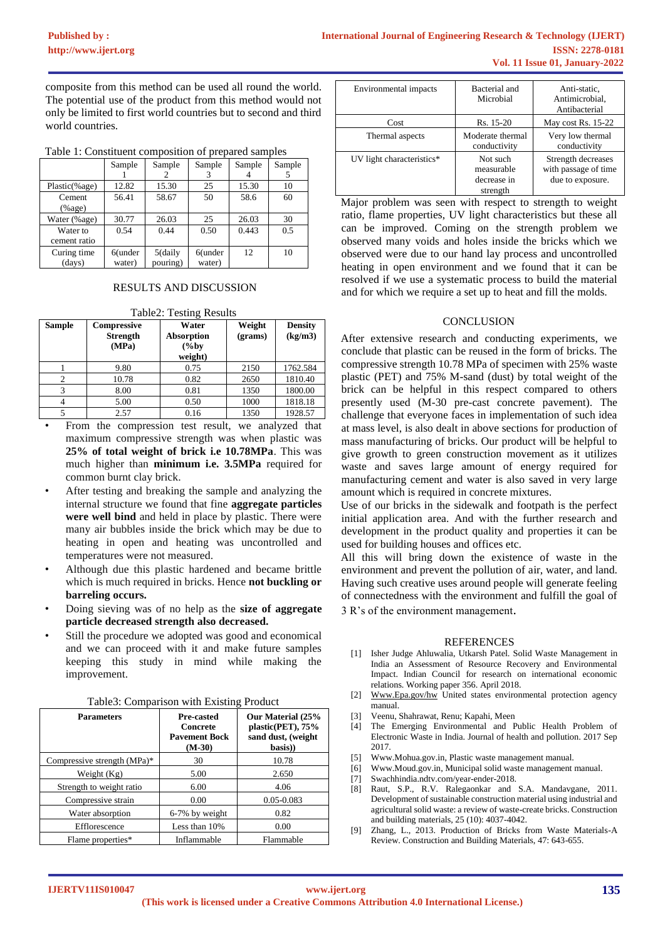composite from this method can be used all round the world. The potential use of the product from this method would not only be limited to first world countries but to second and third world countries.

|  | Table 1: Constituent composition of prepared samples |  |
|--|------------------------------------------------------|--|
|  |                                                      |  |

|               | Sample     | Sample     | Sample     | Sample | Sample |
|---------------|------------|------------|------------|--------|--------|
|               |            |            |            |        |        |
| Plastic(%age) | 12.82      | 15.30      | 25         | 15.30  | 10     |
| Cement        | 56.41      | 58.67      | 50         | 58.6   | 60     |
| %age)         |            |            |            |        |        |
| Water (%age)  | 30.77      | 26.03      | 25         | 26.03  | 30     |
| Water to      | 0.54       | 0.44       | 0.50       | 0.443  | 0.5    |
| cement ratio  |            |            |            |        |        |
| Curing time   | $6$ (under | $5$ (daily | $6$ (under | 12     | 10     |
| (days)        | water)     | pouring)   | water)     |        |        |

# RESULTS AND DISCUSSION

| <b>Table2: Testing Results</b> |                                         |                                            |                   |                           |
|--------------------------------|-----------------------------------------|--------------------------------------------|-------------------|---------------------------|
| <b>Sample</b>                  | Compressive<br><b>Strength</b><br>(MPa) | Water<br>Absorption<br>$(\%$ by<br>weight) | Weight<br>(grams) | <b>Density</b><br>(kg/m3) |
|                                | 9.80                                    | 0.75                                       | 2150              | 1762.584                  |
| $\overline{2}$                 | 10.78                                   | 0.82                                       | 2650              | 1810.40                   |
| 3                              | 8.00                                    | 0.81                                       | 1350              | 1800.00                   |
| 4                              | 5.00                                    | 0.50                                       | 1000              | 1818.18                   |
| 5                              | 2.57                                    | 0.16                                       | 1350              | 1928.57                   |

#### Table2: Testing Results

- From the compression test result, we analyzed that maximum compressive strength was when plastic was **25% of total weight of brick i.e 10.78MPa**. This was much higher than **minimum i.e. 3.5MPa** required for common burnt clay brick.
- After testing and breaking the sample and analyzing the internal structure we found that fine **aggregate particles were well bind** and held in place by plastic. There were many air bubbles inside the brick which may be due to heating in open and heating was uncontrolled and temperatures were not measured.
- Although due this plastic hardened and became brittle which is much required in bricks. Hence **not buckling or barreling occurs.**
- Doing sieving was of no help as the **size of aggregate particle decreased strength also decreased.**
- Still the procedure we adopted was good and economical and we can proceed with it and make future samples keeping this study in mind while making the improvement.

| <b>Parameters</b>           | Pre-casted<br>Concrete<br><b>Pavement Bock</b><br>$(M-30)$ | Our Material (25%<br>plastic(PET), 75%<br>sand dust, (weight<br>basis) |
|-----------------------------|------------------------------------------------------------|------------------------------------------------------------------------|
| Compressive strength (MPa)* | 30                                                         | 10.78                                                                  |
| Weight $(Kg)$               | 5.00                                                       | 2.650                                                                  |
| Strength to weight ratio    | 6.00                                                       | 4.06                                                                   |
| Compressive strain          | 0.00                                                       | $0.05 - 0.083$                                                         |
| Water absorption            | 6-7% by weight                                             | 0.82                                                                   |
| Efflorescence               | Less than 10%                                              | 0.00                                                                   |
| Flame properties*           | Inflammable                                                | Flammable                                                              |

Table3: Comparison with Existing Product

| Environmental impacts     | Bacterial and<br>Microbial                        | Anti-static,<br>Antimicrobial,<br>Antibacterial                |
|---------------------------|---------------------------------------------------|----------------------------------------------------------------|
| Cost                      | Rs. 15-20                                         | May cost Rs. $15-22$                                           |
| Thermal aspects           | Moderate thermal<br>conductivity                  | Very low thermal<br>conductivity                               |
| UV light characteristics* | Not such<br>measurable<br>decrease in<br>strength | Strength decreases<br>with passage of time<br>due to exposure. |

Major problem was seen with respect to strength to weight ratio, flame properties, UV light characteristics but these all can be improved. Coming on the strength problem we observed many voids and holes inside the bricks which we observed were due to our hand lay process and uncontrolled heating in open environment and we found that it can be resolved if we use a systematic process to build the material and for which we require a set up to heat and fill the molds.

## **CONCLUSION**

After extensive research and conducting experiments, we conclude that plastic can be reused in the form of bricks. The compressive strength 10.78 MPa of specimen with 25% waste plastic (PET) and 75% M-sand (dust) by total weight of the brick can be helpful in this respect compared to others presently used (M-30 pre-cast concrete pavement). The challenge that everyone faces in implementation of such idea at mass level, is also dealt in above sections for production of mass manufacturing of bricks. Our product will be helpful to give growth to green construction movement as it utilizes waste and saves large amount of energy required for manufacturing cement and water is also saved in very large amount which is required in concrete mixtures.

Use of our bricks in the sidewalk and footpath is the perfect initial application area. And with the further research and development in the product quality and properties it can be used for building houses and offices etc.

All this will bring down the existence of waste in the environment and prevent the pollution of air, water, and land. Having such creative uses around people will generate feeling of connectedness with the environment and fulfill the goal of 3 R's of the environment management.

## REFERENCES

- [1] Isher Judge Ahluwalia, Utkarsh Patel. Solid Waste Management in India an Assessment of Resource Recovery and Environmental Impact. Indian Council for research on international economic relations. Working paper 356. April 2018.
- [2] Www.Epa.gov/h[w](http://www.epa.gov/hw) United states environmental protection agency manual.
- [3] Veenu, Shahrawat, Renu; Kapahi, Meen
- [4] The Emerging Environmental and Public Health Problem of Electronic Waste in India. Journal of health and pollution. 2017 Sep 2017.
- [5] Www.Mohua.gov.i[n,](http://www.mohua.gov.in/) Plastic waste management manual.
- [6] Www.Moud.gov.i[n,](http://www.moud.gov.in/) Municipal solid waste management manual.
- [7] Swachhindia.ndtv.com/year-ender-2018.
- [8] Raut, S.P., R.V. Ralegaonkar and S.A. Mandavgane, 2011. Development of sustainable construction material using industrial and agricultural solid waste: a review of waste-create bricks. Construction and building materials, 25 (10): 4037-4042.
- Zhang, L., 2013. Production of Bricks from Waste Materials-A Review. Construction and Building Materials, 47: 643-655.